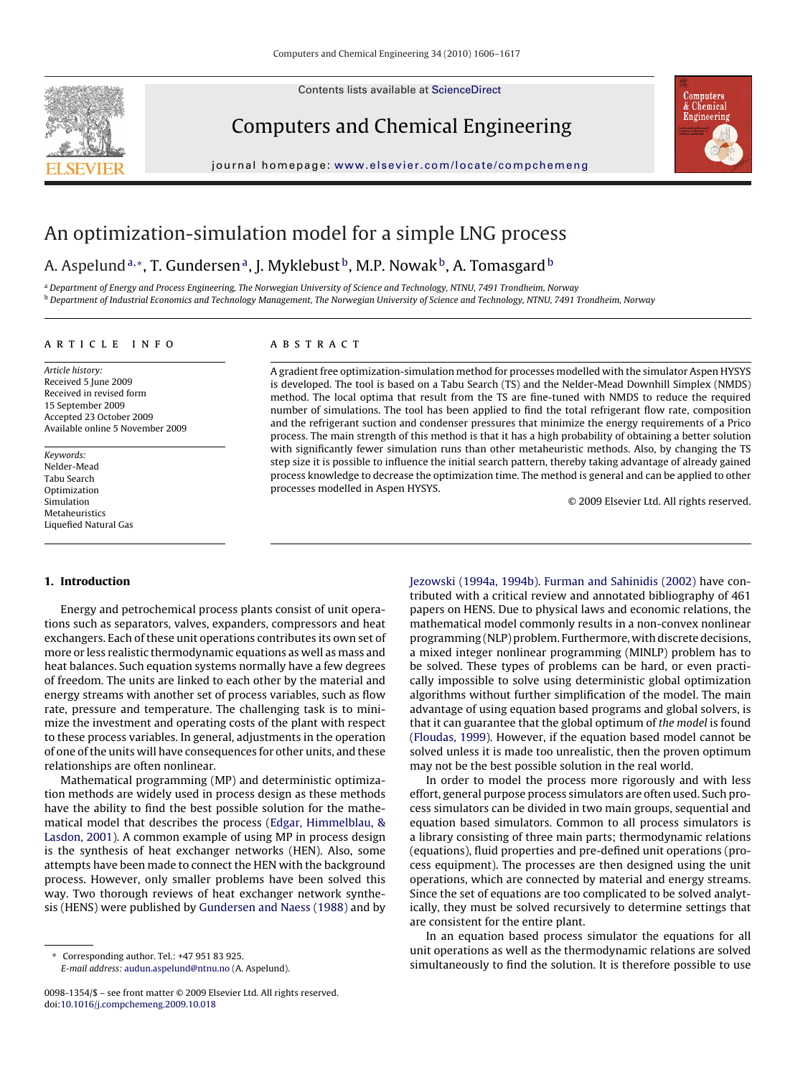Contents lists available at [ScienceDirect](http://www.sciencedirect.com/science/journal/00981354)



Computers and Chemical Engineering



journal homepage: [www.elsevier.com/locate/compchemeng](http://www.elsevier.com/locate/compchemeng)

## An optimization-simulation model for a simple LNG process

### A. Aspelund<sup>a,∗</sup>, T. Gundersen<sup>a</sup>, J. Myklebust<sup>b</sup>, M.P. Nowak<sup>b</sup>, A. Tomasgard<sup>b</sup>

<sup>a</sup> Department of Energy and Process Engineering, The Norwegian University of Science and Technology, NTNU, 7491 Trondheim, Norway <sup>b</sup> Department of Industrial Economics and Technology Management, The Norwegian University of Science and Technology, NTNU, 7491 Trondheim, Norway

#### article info

Article history: Received 5 June 2009 Received in revised form 15 September 2009 Accepted 23 October 2009 Available online 5 November 2009

Keywords: Nelder-Mead Tabu Search Optimization Simulation Metaheuristics Liquefied Natural Gas

#### ABSTRACT

A gradient free optimization-simulation method for processes modelled with the simulator Aspen HYSYS is developed. The tool is based on a Tabu Search (TS) and the Nelder-Mead Downhill Simplex (NMDS) method. The local optima that result from the TS are fine-tuned with NMDS to reduce the required number of simulations. The tool has been applied to find the total refrigerant flow rate, composition and the refrigerant suction and condenser pressures that minimize the energy requirements of a Prico process. The main strength of this method is that it has a high probability of obtaining a better solution with significantly fewer simulation runs than other metaheuristic methods. Also, by changing the TS step size it is possible to influence the initial search pattern, thereby taking advantage of already gained process knowledge to decrease the optimization time. The method is general and can be applied to other processes modelled in Aspen HYSYS.

© 2009 Elsevier Ltd. All rights reserved.

#### **1. Introduction**

Energy and petrochemical process plants consist of unit operations such as separators, valves, expanders, compressors and heat exchangers. Each of these unit operations contributes its own set of more or less realistic thermodynamic equations as well as mass and heat balances. Such equation systems normally have a few degrees of freedom. The units are linked to each other by the material and energy streams with another set of process variables, such as flow rate, pressure and temperature. The challenging task is to minimize the investment and operating costs of the plant with respect to these process variables. In general, adjustments in the operation of one of the units will have consequences for other units, and these relationships are often nonlinear.

Mathematical programming (MP) and deterministic optimization methods are widely used in process design as these methods have the ability to find the best possible solution for the mathematical model that describes the process [\(Edgar, Himmelblau, &](#page--1-0) [Lasdon, 2001\).](#page--1-0) A common example of using MP in process design is the synthesis of heat exchanger networks (HEN). Also, some attempts have been made to connect the HEN with the background process. However, only smaller problems have been solved this way. Two thorough reviews of heat exchanger network synthesis (HENS) were published by [Gundersen and Naess \(1988\)](#page--1-0) and by [Jezowski \(1994a, 1994b\).](#page--1-0) [Furman and Sahinidis \(2002\)](#page--1-0) have contributed with a critical review and annotated bibliography of 461 papers on HENS. Due to physical laws and economic relations, the mathematical model commonly results in a non-convex nonlinear programming (NLP) problem. Furthermore, with discrete decisions, a mixed integer nonlinear programming (MINLP) problem has to be solved. These types of problems can be hard, or even practically impossible to solve using deterministic global optimization algorithms without further simplification of the model. The main advantage of using equation based programs and global solvers, is that it can guarantee that the global optimum of the model is found [\(Floudas, 1999\).](#page--1-0) However, if the equation based model cannot be solved unless it is made too unrealistic, then the proven optimum may not be the best possible solution in the real world.

In order to model the process more rigorously and with less effort, general purpose process simulators are often used. Such process simulators can be divided in two main groups, sequential and equation based simulators. Common to all process simulators is a library consisting of three main parts; thermodynamic relations (equations), fluid properties and pre-defined unit operations (process equipment). The processes are then designed using the unit operations, which are connected by material and energy streams. Since the set of equations are too complicated to be solved analytically, they must be solved recursively to determine settings that are consistent for the entire plant.

In an equation based process simulator the equations for all unit operations as well as the thermodynamic relations are solved simultaneously to find the solution. It is therefore possible to use

<sup>∗</sup> Corresponding author. Tel.: +47 951 83 925. E-mail address: [audun.aspelund@ntnu.no](mailto:audun.aspelund@ntnu.no) (A. Aspelund).

<sup>0098-1354/\$ –</sup> see front matter © 2009 Elsevier Ltd. All rights reserved. doi:[10.1016/j.compchemeng.2009.10.018](dx.doi.org/10.1016/j.compchemeng.2009.10.018)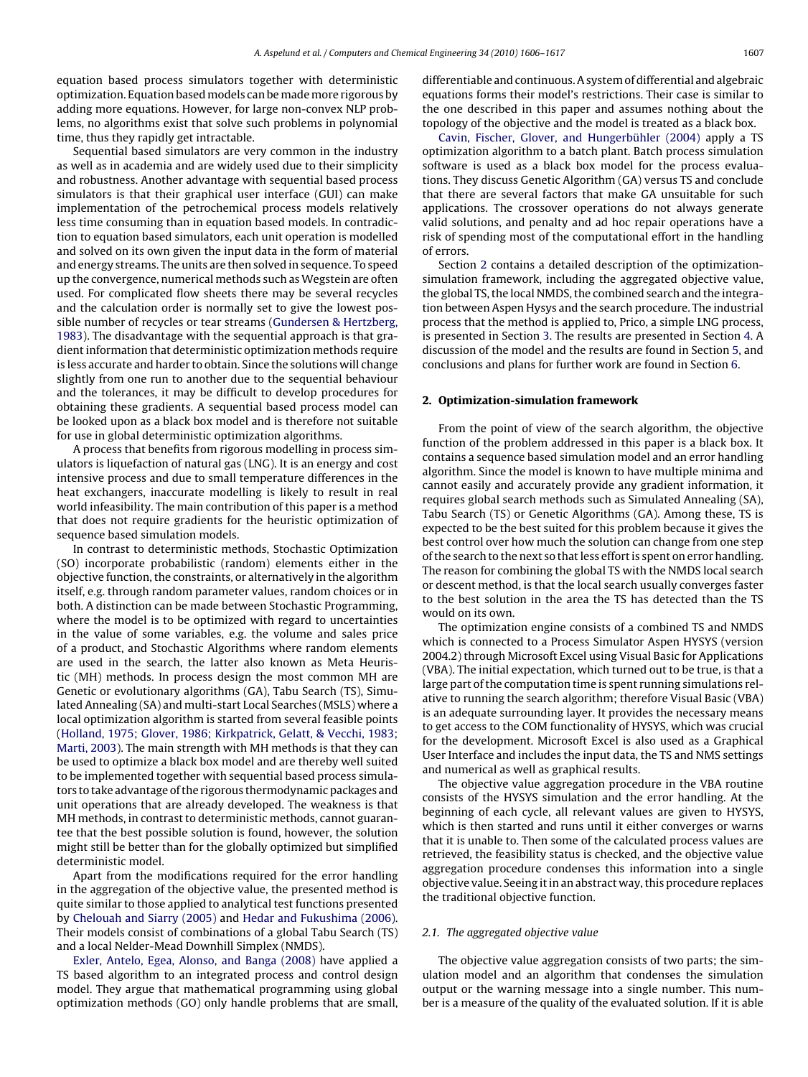equation based process simulators together with deterministic optimization. Equation based models can be made more rigorous by adding more equations. However, for large non-convex NLP problems, no algorithms exist that solve such problems in polynomial time, thus they rapidly get intractable.

Sequential based simulators are very common in the industry as well as in academia and are widely used due to their simplicity and robustness. Another advantage with sequential based process simulators is that their graphical user interface (GUI) can make implementation of the petrochemical process models relatively less time consuming than in equation based models. In contradiction to equation based simulators, each unit operation is modelled and solved on its own given the input data in the form of material and energy streams. The units are then solved in sequence. To speed up the convergence, numerical methods such as Wegstein are often used. For complicated flow sheets there may be several recycles and the calculation order is normally set to give the lowest possible number of recycles or tear streams [\(Gundersen & Hertzberg,](#page--1-0) [1983\).](#page--1-0) The disadvantage with the sequential approach is that gradient information that deterministic optimization methods require is less accurate and harder to obtain. Since the solutions will change slightly from one run to another due to the sequential behaviour and the tolerances, it may be difficult to develop procedures for obtaining these gradients. A sequential based process model can be looked upon as a black box model and is therefore not suitable for use in global deterministic optimization algorithms.

A process that benefits from rigorous modelling in process simulators is liquefaction of natural gas (LNG). It is an energy and cost intensive process and due to small temperature differences in the heat exchangers, inaccurate modelling is likely to result in real world infeasibility. The main contribution of this paper is a method that does not require gradients for the heuristic optimization of sequence based simulation models.

In contrast to deterministic methods, Stochastic Optimization (SO) incorporate probabilistic (random) elements either in the objective function, the constraints, or alternatively in the algorithm itself, e.g. through random parameter values, random choices or in both. A distinction can be made between Stochastic Programming, where the model is to be optimized with regard to uncertainties in the value of some variables, e.g. the volume and sales price of a product, and Stochastic Algorithms where random elements are used in the search, the latter also known as Meta Heuristic (MH) methods. In process design the most common MH are Genetic or evolutionary algorithms (GA), Tabu Search (TS), Simulated Annealing (SA) and multi-start Local Searches (MSLS) where a local optimization algorithm is started from several feasible points ([Holland, 1975; Glover, 1986; Kirkpatrick, Gelatt, & Vecchi, 1983;](#page--1-0) [Marti, 2003\).](#page--1-0) The main strength with MH methods is that they can be used to optimize a black box model and are thereby well suited to be implemented together with sequential based process simulators to take advantage of the rigorous thermodynamic packages and unit operations that are already developed. The weakness is that MH methods, in contrast to deterministic methods, cannot guarantee that the best possible solution is found, however, the solution might still be better than for the globally optimized but simplified deterministic model.

Apart from the modifications required for the error handling in the aggregation of the objective value, the presented method is quite similar to those applied to analytical test functions presented by [Chelouah and Siarry \(2005\)](#page--1-0) and [Hedar and Fukushima \(2006\).](#page--1-0) Their models consist of combinations of a global Tabu Search (TS) and a local Nelder-Mead Downhill Simplex (NMDS).

[Exler, Antelo, Egea, Alonso, and Banga \(2008\)](#page--1-0) have applied a TS based algorithm to an integrated process and control design model. They argue that mathematical programming using global optimization methods (GO) only handle problems that are small, differentiable and continuous. A system of differential and algebraic equations forms their model's restrictions. Their case is similar to the one described in this paper and assumes nothing about the topology of the objective and the model is treated as a black box.

[Cavin, Fischer, Glover, and Hungerbühler \(2004\)](#page--1-0) apply a TS optimization algorithm to a batch plant. Batch process simulation software is used as a black box model for the process evaluations. They discuss Genetic Algorithm (GA) versus TS and conclude that there are several factors that make GA unsuitable for such applications. The crossover operations do not always generate valid solutions, and penalty and ad hoc repair operations have a risk of spending most of the computational effort in the handling of errors.

Section 2 contains a detailed description of the optimizationsimulation framework, including the aggregated objective value, the global TS, the local NMDS, the combined search and the integration between Aspen Hysys and the search procedure. The industrial process that the method is applied to, Prico, a simple LNG process, is presented in Section [3. T](#page--1-0)he results are presented in Section [4. A](#page--1-0) discussion of the model and the results are found in Section [5, a](#page--1-0)nd conclusions and plans for further work are found in Section [6.](#page--1-0)

#### **2. Optimization-simulation framework**

From the point of view of the search algorithm, the objective function of the problem addressed in this paper is a black box. It contains a sequence based simulation model and an error handling algorithm. Since the model is known to have multiple minima and cannot easily and accurately provide any gradient information, it requires global search methods such as Simulated Annealing (SA), Tabu Search (TS) or Genetic Algorithms (GA). Among these, TS is expected to be the best suited for this problem because it gives the best control over how much the solution can change from one step of the search to the next so that less effort is spent on error handling. The reason for combining the global TS with the NMDS local search or descent method, is that the local search usually converges faster to the best solution in the area the TS has detected than the TS would on its own.

The optimization engine consists of a combined TS and NMDS which is connected to a Process Simulator Aspen HYSYS (version 2004.2) through Microsoft Excel using Visual Basic for Applications (VBA). The initial expectation, which turned out to be true, is that a large part of the computation time is spent running simulations relative to running the search algorithm; therefore Visual Basic (VBA) is an adequate surrounding layer. It provides the necessary means to get access to the COM functionality of HYSYS, which was crucial for the development. Microsoft Excel is also used as a Graphical User Interface and includes the input data, the TS and NMS settings and numerical as well as graphical results.

The objective value aggregation procedure in the VBA routine consists of the HYSYS simulation and the error handling. At the beginning of each cycle, all relevant values are given to HYSYS, which is then started and runs until it either converges or warns that it is unable to. Then some of the calculated process values are retrieved, the feasibility status is checked, and the objective value aggregation procedure condenses this information into a single objective value. Seeing it in an abstract way, this procedure replaces the traditional objective function.

#### 2.1. The aggregated objective value

The objective value aggregation consists of two parts; the simulation model and an algorithm that condenses the simulation output or the warning message into a single number. This number is a measure of the quality of the evaluated solution. If it is able